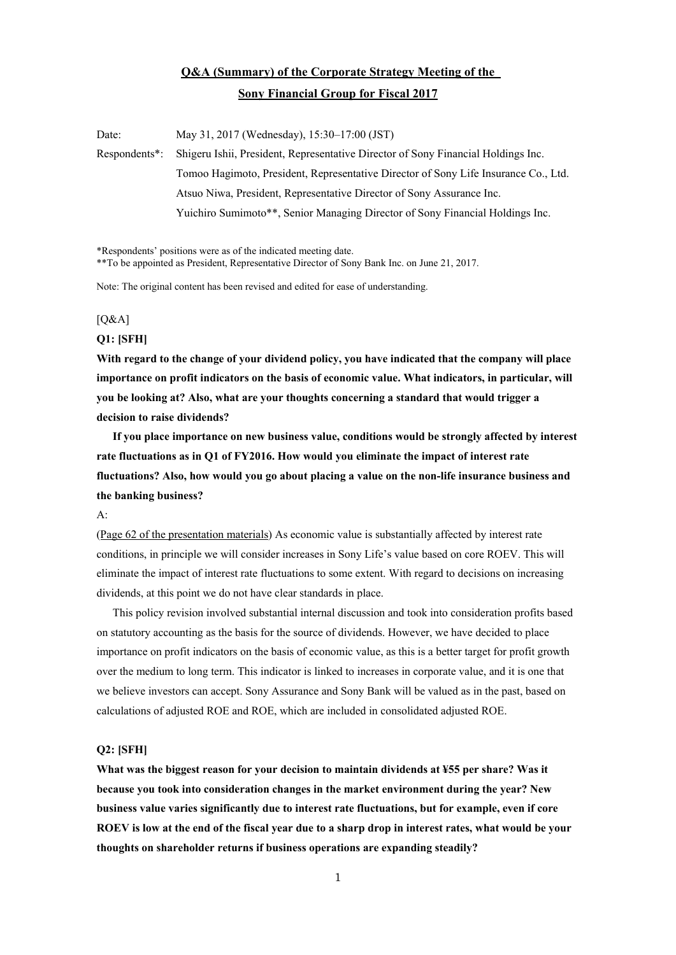## **Q&A (Summary) of the Corporate Strategy Meeting of the Sony Financial Group for Fiscal 2017**

Date: May 31, 2017 (Wednesday), 15:30–17:00 (JST) Respondents\*: Shigeru Ishii, President, Representative Director of Sony Financial Holdings Inc. Tomoo Hagimoto, President, Representative Director of Sony Life Insurance Co., Ltd. Atsuo Niwa, President, Representative Director of Sony Assurance Inc. Yuichiro Sumimoto\*\*, Senior Managing Director of Sony Financial Holdings Inc.

\*Respondents' positions were as of the indicated meeting date.

\*\*To be appointed as President, Representative Director of Sony Bank Inc. on June 21, 2017.

Note: The original content has been revised and edited for ease of understanding.

#### $[Q&A]$

#### **Q1: [SFH]**

**With regard to the change of your dividend policy, you have indicated that the company will place importance on profit indicators on the basis of economic value. What indicators, in particular, will you be looking at? Also, what are your thoughts concerning a standard that would trigger a decision to raise dividends?** 

 **If you place importance on new business value, conditions would be strongly affected by interest rate fluctuations as in Q1 of FY2016. How would you eliminate the impact of interest rate fluctuations? Also, how would you go about placing a value on the non-life insurance business and the banking business?** 

A:

[\(Page 62 of the presentation materials](http://www.sonyfh.co.jp/en/financial_info/management_vision/170531_01.pdf)) As economic value is substantially affected by interest rate conditions, in principle we will consider increases in Sony Life's value based on core ROEV. This will eliminate the impact of interest rate fluctuations to some extent. With regard to decisions on increasing dividends, at this point we do not have clear standards in place.

 This policy revision involved substantial internal discussion and took into consideration profits based on statutory accounting as the basis for the source of dividends. However, we have decided to place importance on profit indicators on the basis of economic value, as this is a better target for profit growth over the medium to long term. This indicator is linked to increases in corporate value, and it is one that we believe investors can accept. Sony Assurance and Sony Bank will be valued as in the past, based on calculations of adjusted ROE and ROE, which are included in consolidated adjusted ROE.

#### **Q2: [SFH]**

**What was the biggest reason for your decision to maintain dividends at ¥55 per share? Was it because you took into consideration changes in the market environment during the year? New business value varies significantly due to interest rate fluctuations, but for example, even if core ROEV is low at the end of the fiscal year due to a sharp drop in interest rates, what would be your thoughts on shareholder returns if business operations are expanding steadily?**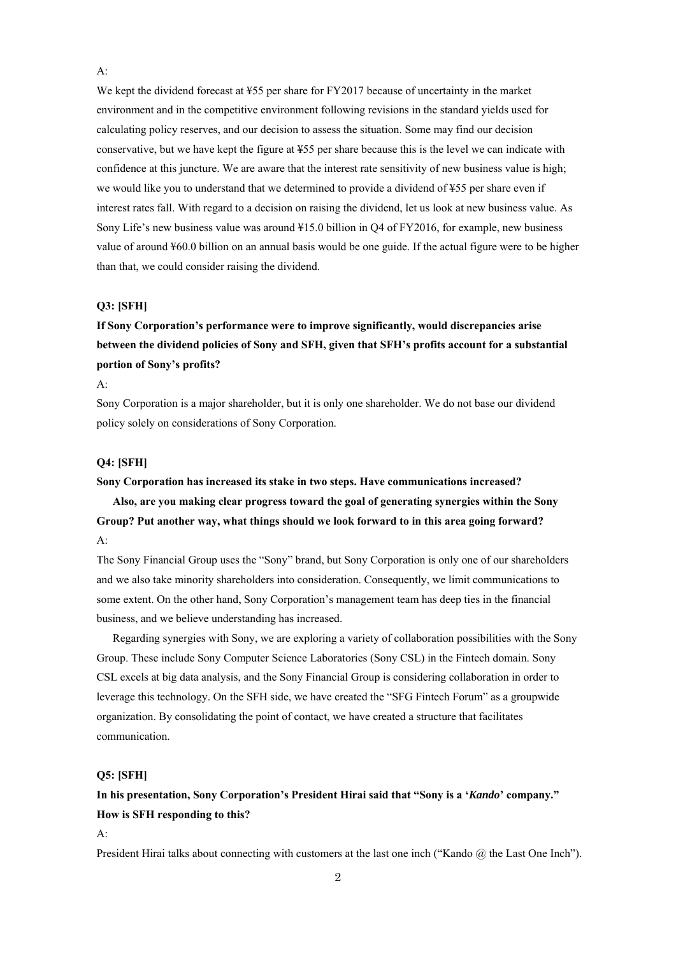We kept the dividend forecast at ¥55 per share for FY2017 because of uncertainty in the market environment and in the competitive environment following revisions in the standard yields used for calculating policy reserves, and our decision to assess the situation. Some may find our decision conservative, but we have kept the figure at ¥55 per share because this is the level we can indicate with confidence at this juncture. We are aware that the interest rate sensitivity of new business value is high; we would like you to understand that we determined to provide a dividend of ¥55 per share even if interest rates fall. With regard to a decision on raising the dividend, let us look at new business value. As Sony Life's new business value was around ¥15.0 billion in Q4 of FY2016, for example, new business value of around ¥60.0 billion on an annual basis would be one guide. If the actual figure were to be higher than that, we could consider raising the dividend.

#### **Q3: [SFH]**

## **If Sony Corporation's performance were to improve significantly, would discrepancies arise between the dividend policies of Sony and SFH, given that SFH's profits account for a substantial portion of Sony's profits?**

A:

 $A$ :

Sony Corporation is a major shareholder, but it is only one shareholder. We do not base our dividend policy solely on considerations of Sony Corporation.

#### **Q4: [SFH]**

#### **Sony Corporation has increased its stake in two steps. Have communications increased?**

 **Also, are you making clear progress toward the goal of generating synergies within the Sony Group? Put another way, what things should we look forward to in this area going forward?**  A:

The Sony Financial Group uses the "Sony" brand, but Sony Corporation is only one of our shareholders and we also take minority shareholders into consideration. Consequently, we limit communications to some extent. On the other hand, Sony Corporation's management team has deep ties in the financial business, and we believe understanding has increased.

 Regarding synergies with Sony, we are exploring a variety of collaboration possibilities with the Sony Group. These include Sony Computer Science Laboratories (Sony CSL) in the Fintech domain. Sony CSL excels at big data analysis, and the Sony Financial Group is considering collaboration in order to leverage this technology. On the SFH side, we have created the "SFG Fintech Forum" as a groupwide organization. By consolidating the point of contact, we have created a structure that facilitates communication.

### **Q5: [SFH]**

### **In his presentation, Sony Corporation's President Hirai said that "Sony is a '***Kando***' company." How is SFH responding to this?**

A:

President Hirai talks about connecting with customers at the last one inch ("Kando  $\omega$  the Last One Inch").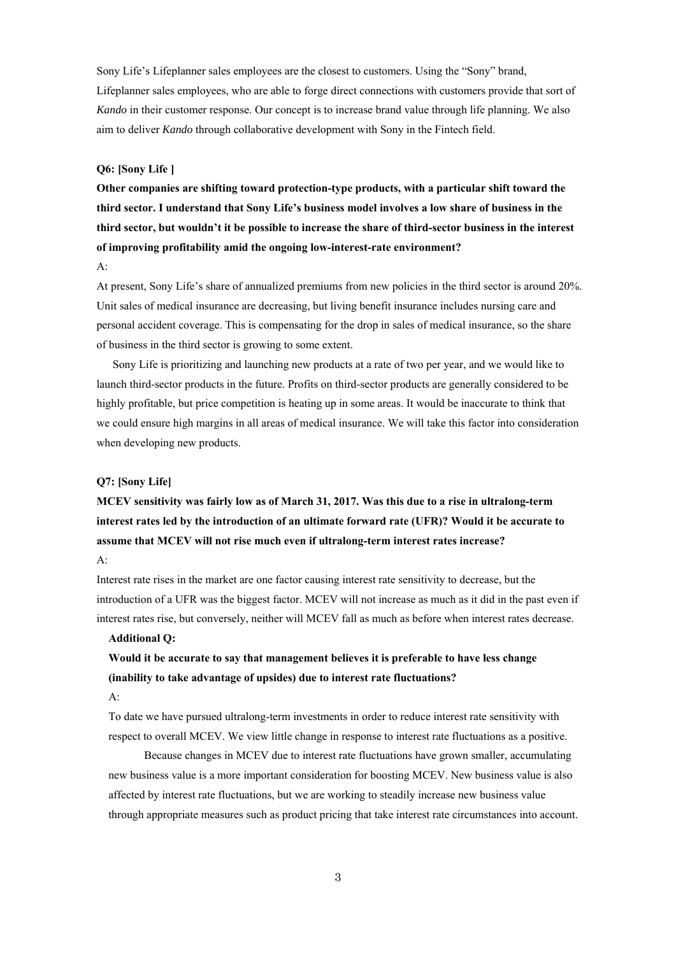Sony Life's Lifeplanner sales employees are the closest to customers. Using the "Sony" brand, Lifeplanner sales employees, who are able to forge direct connections with customers provide that sort of *Kando* in their customer response. Our concept is to increase brand value through life planning. We also aim to deliver *Kando* through collaborative development with Sony in the Fintech field.

#### **Q6: [Sony Life ]**

**Other companies are shifting toward protection-type products, with a particular shift toward the third sector. I understand that Sony Life's business model involves a low share of business in the third sector, but wouldn't it be possible to increase the share of third-sector business in the interest of improving profitability amid the ongoing low-interest-rate environment?** 

A:

At present, Sony Life's share of annualized premiums from new policies in the third sector is around 20%. Unit sales of medical insurance are decreasing, but living benefit insurance includes nursing care and personal accident coverage. This is compensating for the drop in sales of medical insurance, so the share of business in the third sector is growing to some extent.

 Sony Life is prioritizing and launching new products at a rate of two per year, and we would like to launch third-sector products in the future. Profits on third-sector products are generally considered to be highly profitable, but price competition is heating up in some areas. It would be inaccurate to think that we could ensure high margins in all areas of medical insurance. We will take this factor into consideration when developing new products.

#### **Q7: [Sony Life]**

**MCEV sensitivity was fairly low as of March 31, 2017. Was this due to a rise in ultralong-term interest rates led by the introduction of an ultimate forward rate (UFR)? Would it be accurate to assume that MCEV will not rise much even if ultralong-term interest rates increase?** 

A:

Interest rate rises in the market are one factor causing interest rate sensitivity to decrease, but the introduction of a UFR was the biggest factor. MCEV will not increase as much as it did in the past even if interest rates rise, but conversely, neither will MCEV fall as much as before when interest rates decrease.

#### **Additional Q:**

# **Would it be accurate to say that management believes it is preferable to have less change (inability to take advantage of upsides) due to interest rate fluctuations?**

#### A:

To date we have pursued ultralong-term investments in order to reduce interest rate sensitivity with respect to overall MCEV. We view little change in response to interest rate fluctuations as a positive.

 Because changes in MCEV due to interest rate fluctuations have grown smaller, accumulating new business value is a more important consideration for boosting MCEV. New business value is also affected by interest rate fluctuations, but we are working to steadily increase new business value through appropriate measures such as product pricing that take interest rate circumstances into account.